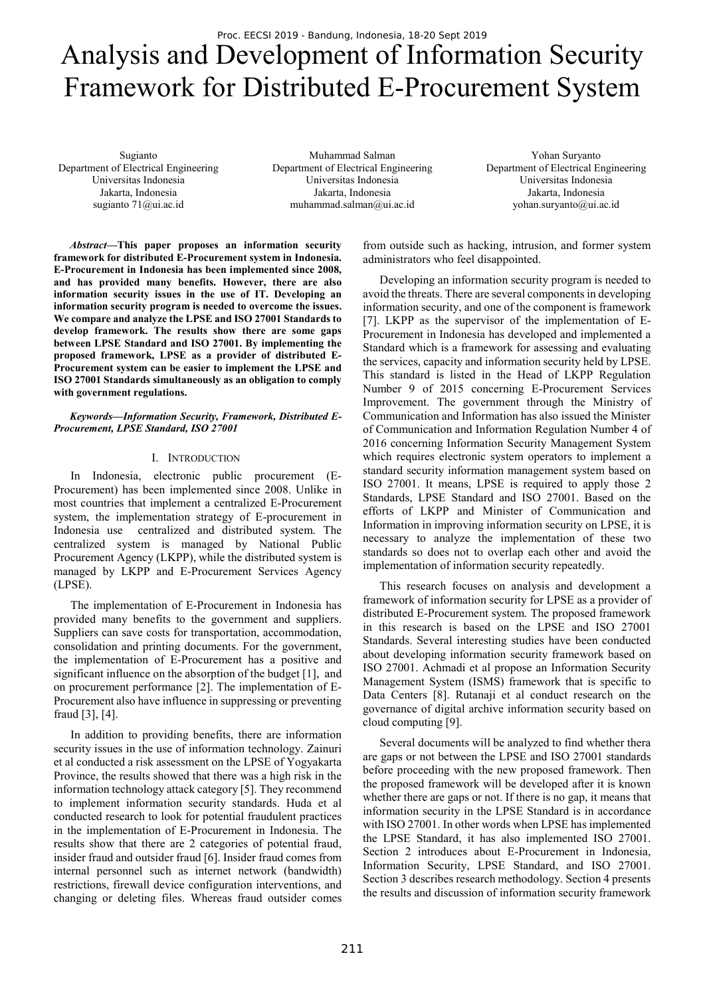# Analysis and Development of Information Security Framework for Distributed E-Procurement System

Sugianto Department of Electrical Engineering Universitas Indonesia Jakarta, Indonesia sugianto 71@ui.ac.id

Muhammad Salman Department of Electrical Engineering Universitas Indonesia Jakarta, Indonesia muhammad.salman@ui.ac.id

Yohan Suryanto Department of Electrical Engineering Universitas Indonesia Jakarta, Indonesia yohan.suryanto@ui.ac.id

*Abstract***—This paper proposes an information security framework for distributed E-Procurement system in Indonesia. E-Procurement in Indonesia has been implemented since 2008, and has provided many benefits. However, there are also information security issues in the use of IT. Developing an information security program is needed to overcome the issues. We compare and analyze the LPSE and ISO 27001 Standards to develop framework. The results show there are some gaps between LPSE Standard and ISO 27001. By implementing the proposed framework, LPSE as a provider of distributed E-Procurement system can be easier to implement the LPSE and ISO 27001 Standards simultaneously as an obligation to comply with government regulations.** 

### *Keywords—Information Security, Framework, Distributed E-Procurement, LPSE Standard, ISO 27001*

### I. INTRODUCTION

In Indonesia, electronic public procurement (E-Procurement) has been implemented since 2008. Unlike in most countries that implement a centralized E-Procurement system, the implementation strategy of E-procurement in Indonesia use centralized and distributed system. The centralized system is managed by National Public Procurement Agency (LKPP), while the distributed system is managed by LKPP and E-Procurement Services Agency (LPSE).

The implementation of E-Procurement in Indonesia has provided many benefits to the government and suppliers. Suppliers can save costs for transportation, accommodation, consolidation and printing documents. For the government, the implementation of E-Procurement has a positive and significant influence on the absorption of the budget [1], and on procurement performance [2]. The implementation of E-Procurement also have influence in suppressing or preventing fraud [3], [4].

In addition to providing benefits, there are information security issues in the use of information technology. Zainuri et al conducted a risk assessment on the LPSE of Yogyakarta Province, the results showed that there was a high risk in the information technology attack category [5]. They recommend to implement information security standards. Huda et al conducted research to look for potential fraudulent practices in the implementation of E-Procurement in Indonesia. The results show that there are 2 categories of potential fraud, insider fraud and outsider fraud [6]. Insider fraud comes from internal personnel such as internet network (bandwidth) restrictions, firewall device configuration interventions, and changing or deleting files. Whereas fraud outsider comes from outside such as hacking, intrusion, and former system administrators who feel disappointed.

Developing an information security program is needed to avoid the threats. There are several components in developing information security, and one of the component is framework [7]. LKPP as the supervisor of the implementation of E-Procurement in Indonesia has developed and implemented a Standard which is a framework for assessing and evaluating the services, capacity and information security held by LPSE. This standard is listed in the Head of LKPP Regulation Number 9 of 2015 concerning E-Procurement Services Improvement. The government through the Ministry of Communication and Information has also issued the Minister of Communication and Information Regulation Number 4 of 2016 concerning Information Security Management System which requires electronic system operators to implement a standard security information management system based on ISO 27001. It means, LPSE is required to apply those 2 Standards, LPSE Standard and ISO 27001. Based on the efforts of LKPP and Minister of Communication and Information in improving information security on LPSE, it is necessary to analyze the implementation of these two standards so does not to overlap each other and avoid the implementation of information security repeatedly.

This research focuses on analysis and development a framework of information security for LPSE as a provider of distributed E-Procurement system. The proposed framework in this research is based on the LPSE and ISO 27001 Standards. Several interesting studies have been conducted about developing information security framework based on ISO 27001. Achmadi et al propose an Information Security Management System (ISMS) framework that is specific to Data Centers [8]. Rutanaji et al conduct research on the governance of digital archive information security based on cloud computing [9].

Several documents will be analyzed to find whether thera are gaps or not between the LPSE and ISO 27001 standards before proceeding with the new proposed framework. Then the proposed framework will be developed after it is known whether there are gaps or not. If there is no gap, it means that information security in the LPSE Standard is in accordance with ISO 27001. In other words when LPSE has implemented the LPSE Standard, it has also implemented ISO 27001. Section 2 introduces about E-Procurement in Indonesia, Information Security, LPSE Standard, and ISO 27001. Section 3 describes research methodology. Section 4 presents the results and discussion of information security framework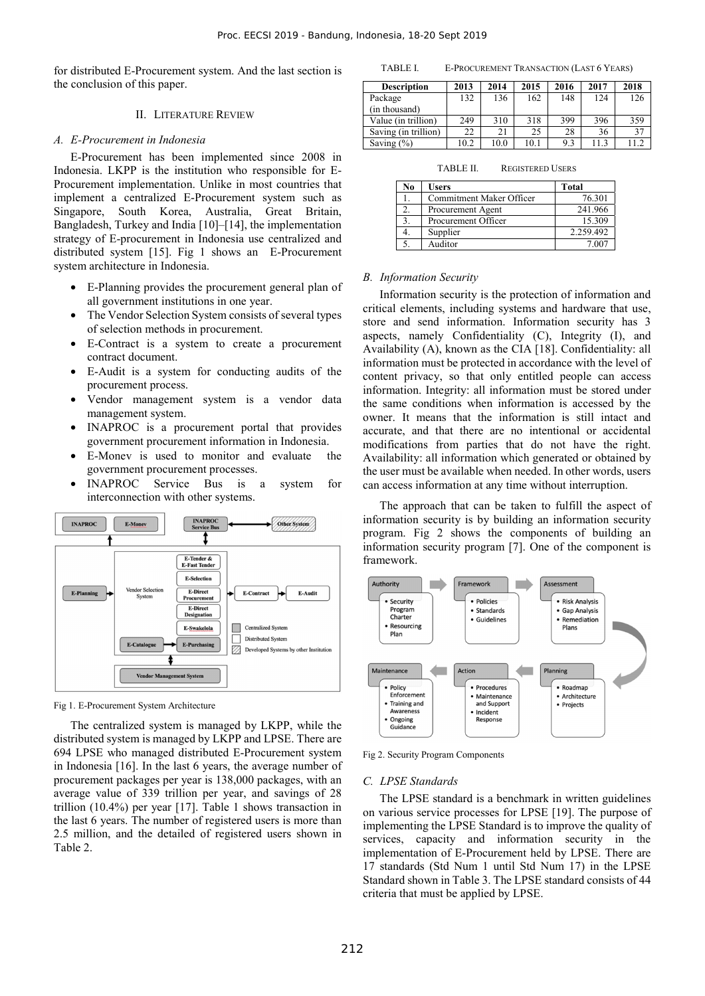for distributed E-Procurement system. And the last section is the conclusion of this paper.

## II. LITERATURE REVIEW

#### *A. E-Procurement in Indonesia*

E-Procurement has been implemented since 2008 in Indonesia. LKPP is the institution who responsible for E-Procurement implementation. Unlike in most countries that implement a centralized E-Procurement system such as Singapore, South Korea, Australia, Great Britain, Bangladesh, Turkey and India [10]–[14], the implementation strategy of E-procurement in Indonesia use centralized and distributed system [15]. Fig 1 shows an E-Procurement system architecture in Indonesia.

- E-Planning provides the procurement general plan of all government institutions in one year.
- The Vendor Selection System consists of several types of selection methods in procurement.
- E-Contract is a system to create a procurement contract document.
- E-Audit is a system for conducting audits of the procurement process.
- Vendor management system is a vendor data management system.
- INAPROC is a procurement portal that provides government procurement information in Indonesia.
- E-Monev is used to monitor and evaluate the government procurement processes.
- INAPROC Service Bus is a system for interconnection with other systems.



Fig 1. E-Procurement System Architecture

The centralized system is managed by LKPP, while the distributed system is managed by LKPP and LPSE. There are 694 LPSE who managed distributed E-Procurement system in Indonesia [16]. In the last 6 years, the average number of procurement packages per year is 138,000 packages, with an average value of 339 trillion per year, and savings of 28 trillion (10.4%) per year [17]. Table 1 shows transaction in the last 6 years. The number of registered users is more than 2.5 million, and the detailed of registered users shown in Table 2.

TABLE I. E-PROCUREMENT TRANSACTION (LAST 6 YEARS)

| <b>Description</b>   | 2013 | 2014 | 2015 | 2016 | 2017 | 2018 |
|----------------------|------|------|------|------|------|------|
| Package              | 132  | 136  | 162  | 148  | 124  | 126  |
| (in thousand)        |      |      |      |      |      |      |
| Value (in trillion)  | 249  | 310  | 318  | 399  | 396  | 359  |
| Saving (in trillion) | 22   | 21   | 25   | 28   | 36   | 37   |
| Saving $(\% )$       | 10.2 | 10.0 | 10.1 | 9.3  | 11.3 |      |

TABLE II. REGISTERED USERS

| No | <b>Users</b>             | <b>Total</b> |
|----|--------------------------|--------------|
|    | Commitment Maker Officer | 76.301       |
|    | Procurement Agent        | 241.966      |
|    | Procurement Officer      | 15.309       |
|    | Supplier                 | 2.259.492    |
|    | Auditor                  | 7.007        |

### *B. Information Security*

Information security is the protection of information and critical elements, including systems and hardware that use, store and send information. Information security has 3 aspects, namely Confidentiality (C), Integrity (I), and Availability (A), known as the CIA [18]. Confidentiality: all information must be protected in accordance with the level of content privacy, so that only entitled people can access information. Integrity: all information must be stored under the same conditions when information is accessed by the owner. It means that the information is still intact and accurate, and that there are no intentional or accidental modifications from parties that do not have the right. Availability: all information which generated or obtained by the user must be available when needed. In other words, users can access information at any time without interruption.

The approach that can be taken to fulfill the aspect of information security is by building an information security program. Fig 2 shows the components of building an information security program [7]. One of the component is framework.



Fig 2. Security Program Components

#### *C. LPSE Standards*

The LPSE standard is a benchmark in written guidelines on various service processes for LPSE [19]. The purpose of implementing the LPSE Standard is to improve the quality of services, capacity and information security in the implementation of E-Procurement held by LPSE. There are 17 standards (Std Num 1 until Std Num 17) in the LPSE Standard shown in Table 3. The LPSE standard consists of 44 criteria that must be applied by LPSE.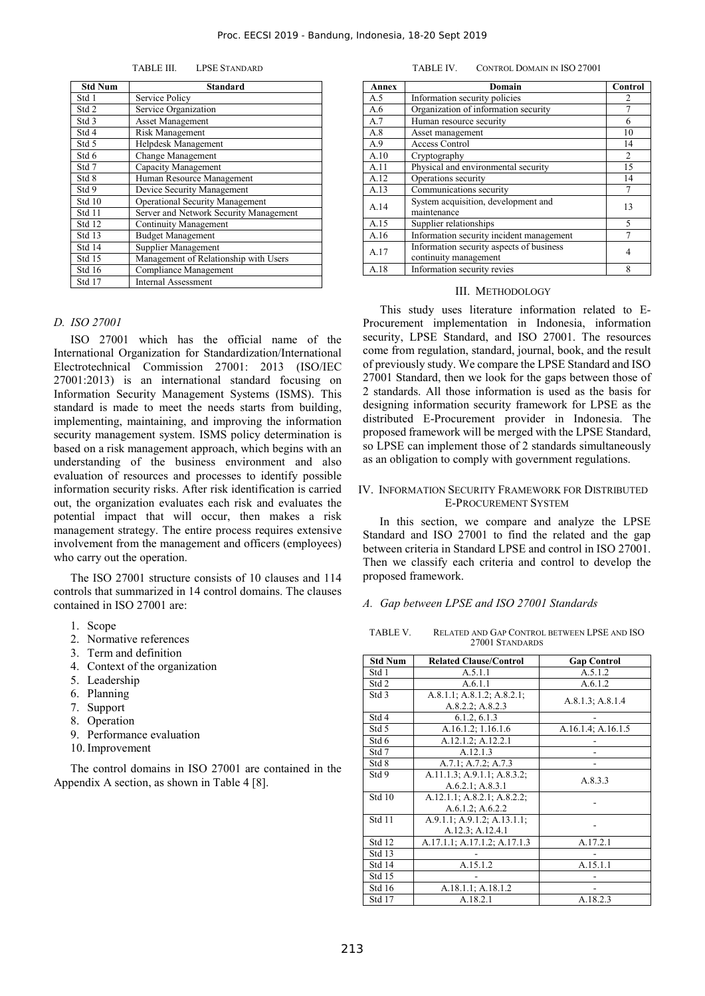TABLE III. LPSE STANDARD

| <b>Std Num</b>   | Standard                               |  |  |
|------------------|----------------------------------------|--|--|
| Std 1            | Service Policy                         |  |  |
| Std <sub>2</sub> | Service Organization                   |  |  |
| Std 3            | <b>Asset Management</b>                |  |  |
| Std 4            | Risk Management                        |  |  |
| Std 5            | Helpdesk Management                    |  |  |
| Std 6            | <b>Change Management</b>               |  |  |
| Std 7            | Capacity Management                    |  |  |
| Std 8            | Human Resource Management              |  |  |
| Std 9            | Device Security Management             |  |  |
| Std 10           | <b>Operational Security Management</b> |  |  |
| Std 11           | Server and Network Security Management |  |  |
| Std 12           | <b>Continuity Management</b>           |  |  |
| Std 13           | <b>Budget Management</b>               |  |  |
| Std 14           | Supplier Management                    |  |  |
| Std 15           | Management of Relationship with Users  |  |  |
| Std 16           | Compliance Management                  |  |  |
| Std 17           | Internal Assessment                    |  |  |

#### *D. ISO 27001*

ISO 27001 which has the official name of the International Organization for Standardization/International Electrotechnical Commission 27001: 2013 (ISO/IEC 27001:2013) is an international standard focusing on Information Security Management Systems (ISMS). This standard is made to meet the needs starts from building, implementing, maintaining, and improving the information security management system. ISMS policy determination is based on a risk management approach, which begins with an understanding of the business environment and also evaluation of resources and processes to identify possible information security risks. After risk identification is carried out, the organization evaluates each risk and evaluates the potential impact that will occur, then makes a risk management strategy. The entire process requires extensive involvement from the management and officers (employees) who carry out the operation.

The ISO 27001 structure consists of 10 clauses and 114 controls that summarized in 14 control domains. The clauses contained in ISO 27001 are:

- 1. Scope
- 2. Normative references
- 3. Term and definition
- 4. Context of the organization
- 5. Leadership
- 6. Planning
- 7. Support
- 8. Operation
- 9. Performance evaluation
- 10.Improvement

The control domains in ISO 27001 are contained in the Appendix A section, as shown in Table 4 [8].

| Annex | Domain                                                            | Control |
|-------|-------------------------------------------------------------------|---------|
| A.5   | Information security policies                                     | 2       |
| A.6   | Organization of information security                              |         |
| A.7   | Human resource security                                           | 6       |
| A.8   | Asset management                                                  | 10      |
| A.9   | <b>Access Control</b>                                             | 14      |
| A.10  | Cryptography                                                      | 2       |
| A.11  | Physical and environmental security                               |         |
| A.12  | Operations security                                               | 14      |
| A.13  | Communications security                                           | 7       |
| A.14  | System acquisition, development and<br>maintenance                | 13      |
| A.15  | Supplier relationships                                            |         |
| A.16  | Information security incident management                          |         |
| A.17  | Information security aspects of business<br>continuity management | 4       |
| A.18  | Information security revies                                       |         |

#### III. METHODOLOGY

This study uses literature information related to E-Procurement implementation in Indonesia, information security, LPSE Standard, and ISO 27001. The resources come from regulation, standard, journal, book, and the result of previously study. We compare the LPSE Standard and ISO 27001 Standard, then we look for the gaps between those of 2 standards. All those information is used as the basis for designing information security framework for LPSE as the distributed E-Procurement provider in Indonesia. The proposed framework will be merged with the LPSE Standard, so LPSE can implement those of 2 standards simultaneously as an obligation to comply with government regulations.

## IV. INFORMATION SECURITY FRAMEWORK FOR DISTRIBUTED E-PROCUREMENT SYSTEM

In this section, we compare and analyze the LPSE Standard and ISO 27001 to find the related and the gap between criteria in Standard LPSE and control in ISO 27001. Then we classify each criteria and control to develop the proposed framework.

### *A. Gap between LPSE and ISO 27001 Standards*

TABLE V. RELATED AND GAP CONTROL BETWEEN LPSE AND ISO 27001 STANDARDS

| <b>Std Num</b> | <b>Related Clause/Control</b> | <b>Gap Control</b>               |
|----------------|-------------------------------|----------------------------------|
| Std 1          | A.5.1.1                       | A.5.1.2                          |
| Std 2          | A.6.1.1                       | A.6.1.2                          |
| Std 3          | A.8.1.1; A.8.1.2; A.8.2.1;    | A.8.1.3; A.8.1.4                 |
|                | A.8.2.2; A.8.2.3              |                                  |
| Std 4          | 6.1.2, 6.1.3                  |                                  |
| Std 5          | A.16.1.2; 1.16.1.6            | $\overline{A.16.1.4}$ ; A.16.1.5 |
| Std 6          | A.12.1.2; A.12.2.1            |                                  |
| Std 7          | A.12.1.3                      |                                  |
| Std 8          | A.7.1; A.7.2; A.7.3           |                                  |
| Std 9          | A.11.1.3; A.9.1.1; A.8.3.2;   | A.8.3.3                          |
|                | A.6.2.1; A.8.3.1              |                                  |
| Std 10         | A.12.1.1; A.8.2.1; A.8.2.2;   |                                  |
|                | A.6.1.2; A.6.2.2              |                                  |
| Std 11         | A.9.1.1; A.9.1.2; A.13.1.1;   |                                  |
|                | A.12.3; A.12.4.1              |                                  |
| Std 12         | A.17.1.1; A.17.1.2; A.17.1.3  | A.17.2.1                         |
| Std 13         |                               |                                  |
| Std 14         | A.15.1.2                      | A.15.1.1                         |
| Std 15         |                               |                                  |
| <b>Std 16</b>  | A.18.1.1; A.18.1.2            |                                  |
| Std 17         | A.18.2.1                      | A.18.2.3                         |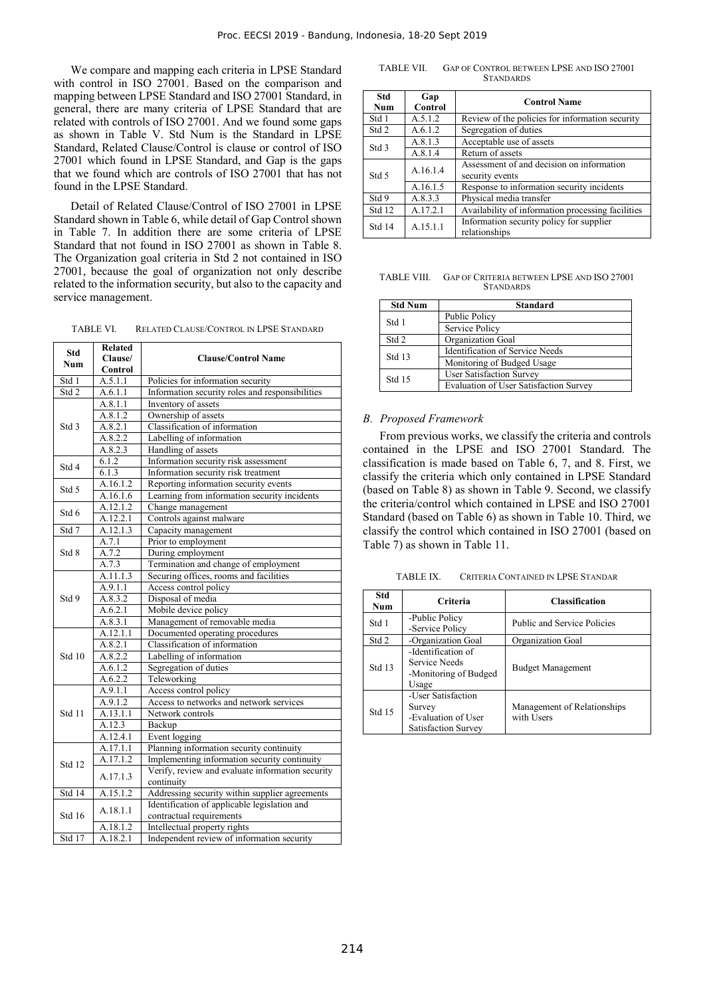We compare and mapping each criteria in LPSE Standard with control in ISO 27001. Based on the comparison and mapping between LPSE Standard and ISO 27001 Standard, in general, there are many criteria of LPSE Standard that are related with controls of ISO 27001. And we found some gaps as shown in Table V. Std Num is the Standard in LPSE Standard, Related Clause/Control is clause or control of ISO 27001 which found in LPSE Standard, and Gap is the gaps that we found which are controls of ISO 27001 that has not found in the LPSE Standard.

Detail of Related Clause/Control of ISO 27001 in LPSE Standard shown in Table 6, while detail of Gap Control shown in Table 7. In addition there are some criteria of LPSE Standard that not found in ISO 27001 as shown in Table 8. The Organization goal criteria in Std 2 not contained in ISO 27001, because the goal of organization not only describe related to the information security, but also to the capacity and service management.

TABLE VI. RELATED CLAUSE/CONTROL IN LPSE STANDARD

| <b>Std</b>         | <b>Related</b> |                                                  |  |
|--------------------|----------------|--------------------------------------------------|--|
| <b>Num</b>         | Clause/        | <b>Clause/Control Name</b>                       |  |
| Control            |                |                                                  |  |
| Std 1              | A.5.1.1        | Policies for information security                |  |
| Std 2              | A.6.1.1        | Information security roles and responsibilities  |  |
|                    | A.8.1.1        | Inventory of assets                              |  |
|                    | A.8.1.2        | Ownership of assets                              |  |
| Std <sub>3</sub>   | A.8.2.1        | Classification of information                    |  |
|                    | A.8.2.2        | Labelling of information                         |  |
|                    | A.8.2.3        | Handling of assets                               |  |
| Std 4              | 6.1.2          | Information security risk assessment             |  |
|                    | 6.1.3          | Information security risk treatment              |  |
| Std 5              | A.16.1.2       | Reporting information security events            |  |
|                    | A.16.1.6       | Learning from information security incidents     |  |
| Std 6              | A.12.1.2       | Change management                                |  |
|                    | A.12.2.1       | Controls against malware                         |  |
| Std 7              | A.12.1.3       | Capacity management                              |  |
|                    | A.7.1          | Prior to employment                              |  |
| Std 8              | A.7.2          | During employment                                |  |
|                    | A.7.3          | Termination and change of employment             |  |
|                    | A.11.1.3       | Securing offices, rooms and facilities           |  |
|                    | A.9.1.1        | Access control policy                            |  |
| Std 9              | A.8.3.2        | Disposal of media                                |  |
|                    | A.6.2.1        | Mobile device policy                             |  |
|                    | A.8.3.1        | Management of removable media                    |  |
|                    | A.12.1.1       | Documented operating procedures                  |  |
|                    | A.8.2.1        | Classification of information                    |  |
| Std 10             | A.8.2.2        | Labelling of information                         |  |
|                    | A.6.1.2        | Segregation of duties                            |  |
|                    | A.6.2.2        | Teleworking                                      |  |
|                    | A.9.1.1        | Access control policy                            |  |
|                    | A.9.1.2        | Access to networks and network services          |  |
| Std 11             | A.13.1.1       | Network controls                                 |  |
|                    | A.12.3         | Backup                                           |  |
|                    | A.12.4.1       | Event logging                                    |  |
|                    | A.17.1.1       | Planning information security continuity         |  |
|                    | A.17.1.2       | Implementing information security continuity     |  |
| Std 12             |                | Verify, review and evaluate information security |  |
|                    | A.17.1.3       | continuity                                       |  |
| Std 14<br>A.15.1.2 |                | Addressing security within supplier agreements   |  |
|                    | A.18.1.1       | Identification of applicable legislation and     |  |
| <b>Std 16</b>      |                | contractual requirements                         |  |
|                    | A.18.1.2       | Intellectual property rights                     |  |
| Std 17             | A.18.2.1       | Independent review of information security       |  |

TABLE VII. GAP OF CONTROL BETWEEN LPSE AND ISO 27001 **STANDARDS** 

| Std<br><b>Num</b> | Gap<br>Control | <b>Control Name</b>                                          |  |
|-------------------|----------------|--------------------------------------------------------------|--|
| Std 1             | A.5.1.2        | Review of the policies for information security              |  |
| Std 2             | A.6.1.2        | Segregation of duties                                        |  |
| Std 3             | A.8.1.3        | Acceptable use of assets                                     |  |
|                   | A.8.1.4        | Return of assets                                             |  |
| Std 5             | A.16.1.4       | Assessment of and decision on information<br>security events |  |
|                   | A.16.1.5       | Response to information security incidents                   |  |
| Std 9             | A.8.3.3        | Physical media transfer                                      |  |
| Std 12            | A.17.2.1       | Availability of information processing facilities            |  |
| Std 14            | A.15.1.1       | Information security policy for supplier<br>relationships    |  |

TABLE VIII. GAP OF CRITERIA BETWEEN LPSE AND ISO 27001 **STANDARDS** 

| <b>Std Num</b> | <b>Standard</b>                               |  |  |
|----------------|-----------------------------------------------|--|--|
| Std 1          | Public Policy                                 |  |  |
|                | Service Policy                                |  |  |
| Std 2          | Organization Goal                             |  |  |
| Std 13         | <b>Identification of Service Needs</b>        |  |  |
|                | Monitoring of Budged Usage                    |  |  |
| Std 15         | <b>User Satisfaction Survey</b>               |  |  |
|                | <b>Evaluation of User Satisfaction Survey</b> |  |  |

## *B. Proposed Framework*

From previous works, we classify the criteria and controls contained in the LPSE and ISO 27001 Standard. The classification is made based on Table 6, 7, and 8. First, we classify the criteria which only contained in LPSE Standard (based on Table 8) as shown in Table 9. Second, we classify the criteria/control which contained in LPSE and ISO 27001 Standard (based on Table 6) as shown in Table 10. Third, we classify the control which contained in ISO 27001 (based on Table 7) as shown in Table 11.

TABLE IX. CRITERIA CONTAINED IN LPSE STANDAR

| Std<br><b>Num</b> | <b>Criteria</b>                                                            | <b>Classification</b>                     |  |
|-------------------|----------------------------------------------------------------------------|-------------------------------------------|--|
| Std 1             | -Public Policy<br>-Service Policy                                          | Public and Service Policies               |  |
| Std 2             | -Organization Goal                                                         | Organization Goal                         |  |
| Std 13            | -Identification of<br>Service Needs<br>-Monitoring of Budged<br>Usage      | <b>Budget Management</b>                  |  |
| Std 15            | -User Satisfaction<br>Survey<br>-Evaluation of User<br>Satisfaction Survey | Management of Relationships<br>with Users |  |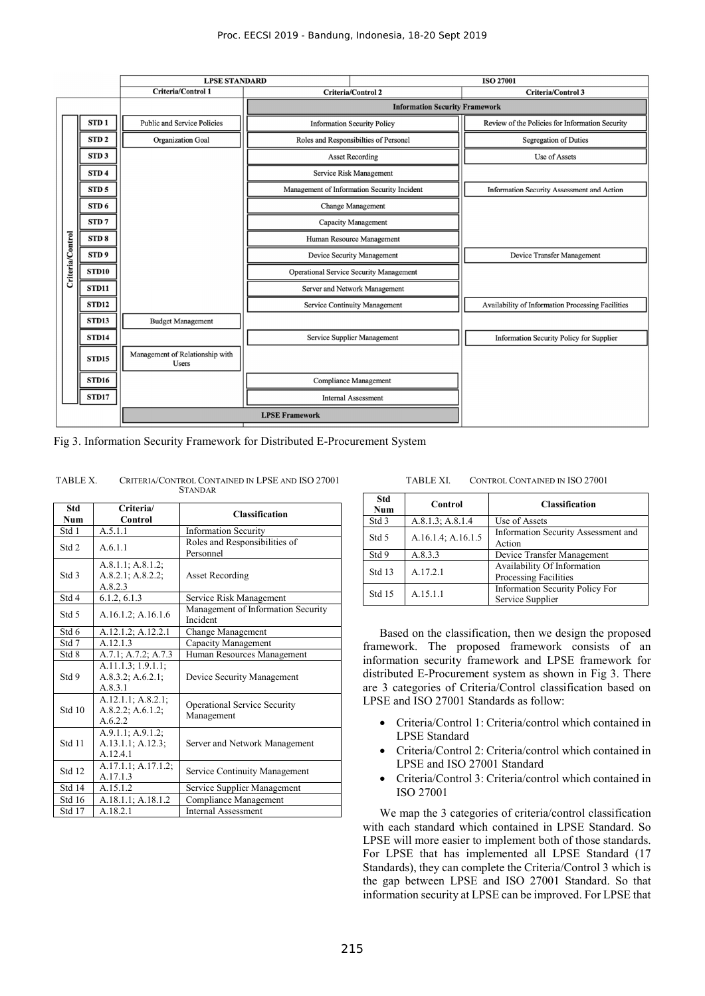|                  |                   | <b>LPSE STANDARD</b>                            |                                       |                                                | <b>ISO 27001</b>                                  |  |
|------------------|-------------------|-------------------------------------------------|---------------------------------------|------------------------------------------------|---------------------------------------------------|--|
|                  |                   | <b>Criteria/Control 1</b>                       | <b>Criteria/Control 2</b>             |                                                | <b>Criteria/Control 3</b>                         |  |
|                  |                   |                                                 |                                       | <b>Information Security Framework</b>          |                                                   |  |
|                  | STD <sub>1</sub>  | <b>Public and Service Policies</b>              | <b>Information Security Policy</b>    |                                                | Review of the Policies for Information Security   |  |
|                  | STD <sub>2</sub>  | <b>Organization Goal</b>                        | Roles and Responsibilties of Personel |                                                | <b>Segregation of Duties</b>                      |  |
|                  | STD <sub>3</sub>  |                                                 |                                       | <b>Asset Recording</b>                         | <b>Use of Assets</b>                              |  |
|                  | STD <sub>4</sub>  |                                                 |                                       | Service Risk Management                        |                                                   |  |
|                  | STD <sub>5</sub>  |                                                 |                                       | Management of Information Security Incident    | <b>Information Security Assessment and Action</b> |  |
|                  | STD <sub>6</sub>  |                                                 |                                       | <b>Change Management</b>                       |                                                   |  |
|                  | STD <sub>7</sub>  |                                                 |                                       | Capacity Management                            |                                                   |  |
|                  | STD <sub>8</sub>  |                                                 | Human Resource Management             |                                                |                                                   |  |
|                  | STD <sub>9</sub>  |                                                 |                                       | Device Security Management                     | Device Transfer Management                        |  |
| Criteria/Control | STD <sub>10</sub> |                                                 |                                       | <b>Operational Service Security Management</b> |                                                   |  |
|                  | STD11             |                                                 |                                       | Server and Network Management                  |                                                   |  |
|                  | STD12             |                                                 |                                       | Service Continuity Management                  | Availability of Information Processing Facilities |  |
|                  | <b>STD13</b>      | <b>Budget Management</b>                        |                                       |                                                |                                                   |  |
|                  | <b>STD14</b>      |                                                 |                                       | Service Supplier Management                    | <b>Information Security Policy for Supplier</b>   |  |
|                  | <b>STD15</b>      | Management of Relationship with<br><b>Users</b> |                                       |                                                |                                                   |  |
|                  | <b>STD16</b>      |                                                 |                                       | <b>Compliance Management</b>                   |                                                   |  |
|                  | STD17             |                                                 | <b>Internal Assessment</b>            |                                                |                                                   |  |
|                  |                   | <b>LPSE Framework</b>                           |                                       |                                                |                                                   |  |

Fig 3. Information Security Framework for Distributed E-Procurement System

| Std    | Criteria/                                                | <b>Classification</b>                             |  |
|--------|----------------------------------------------------------|---------------------------------------------------|--|
| Num    | Control                                                  |                                                   |  |
| Std 1  | A.5.1.1                                                  | <b>Information Security</b>                       |  |
| Std 2  | A.6.1.1                                                  | Roles and Responsibilities of<br>Personnel        |  |
| Std 3  | A.8.1.1; A.8.1.2;<br>A.8.2.1; A.8.2.2;<br>A.8.2.3        | Asset Recording                                   |  |
| Std 4  | 6.1.2, 6.1.3                                             | Service Risk Management                           |  |
| Std 5  | A.16.1.2; A.16.1.6                                       | Management of Information Security<br>Incident    |  |
| Std 6  | A.12.1.2; A.12.2.1                                       | Change Management                                 |  |
| Std 7  | A.12.1.3                                                 | Capacity Management                               |  |
| Std 8  | A.7.1; A.7.2; A.7.3                                      | Human Resources Management                        |  |
| Std 9  | A.11.1.3; 1.9.1.1;<br>A.8.3.2; A.6.2.1;<br>A.8.3.1       | Device Security Management                        |  |
| Std 10 | A.12.1.1; A.8.2.1;<br>$A.8.2.2$ ; $A.6.1.2$ ;<br>A.6.2.2 | <b>Operational Service Security</b><br>Management |  |
| Std 11 | A.9.1.1; A.9.1.2;<br>A.13.1.1; A.12.3;<br>A.12.4.1       | Server and Network Management                     |  |
| Std 12 | A.17.1.1; A.17.1.2;<br>A.17.1.3                          | Service Continuity Management                     |  |
| Std 14 | A.15.1.2                                                 | Service Supplier Management                       |  |
| Std 16 | A.18.1.1; A.18.1.2                                       | Compliance Management                             |  |
| Std 17 | A.18.2.1                                                 | <b>Internal Assessment</b>                        |  |

TABLE X. CRITERIA/CONTROL CONTAINED IN LPSE AND ISO 27001 **STANDAR** 

#### TABLE XI. CONTROL CONTAINED IN ISO 27001

| <b>Std</b><br>Num | Control            | <b>Classification</b>                                      |
|-------------------|--------------------|------------------------------------------------------------|
| Std 3             | A.8.1.3; A.8.1.4   | Use of Assets                                              |
| Std 5             | A.16.1.4; A.16.1.5 | Information Security Assessment and<br>Action              |
| Std 9             | A.8.3.3            | Device Transfer Management                                 |
| Std 13            | A.17.2.1           | Availability Of Information<br>Processing Facilities       |
| Std 15            | A.15.1.1           | <b>Information Security Policy For</b><br>Service Supplier |

Based on the classification, then we design the proposed framework. The proposed framework consists of an information security framework and LPSE framework for distributed E-Procurement system as shown in Fig 3. There are 3 categories of Criteria/Control classification based on LPSE and ISO 27001 Standards as follow:

- Criteria/Control 1: Criteria/control which contained in LPSE Standard
- Criteria/Control 2: Criteria/control which contained in LPSE and ISO 27001 Standard
- Criteria/Control 3: Criteria/control which contained in ISO 27001

We map the 3 categories of criteria/control classification with each standard which contained in LPSE Standard. So LPSE will more easier to implement both of those standards. For LPSE that has implemented all LPSE Standard (17 Standards), they can complete the Criteria/Control 3 which is the gap between LPSE and ISO 27001 Standard. So that information security at LPSE can be improved. For LPSE that